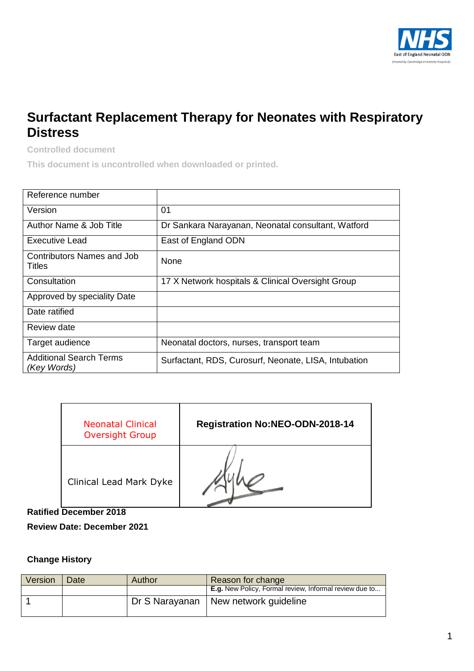

## **Surfactant Replacement Therapy for Neonates with Respiratory Distress**

**Controlled document**

**This document is uncontrolled when downloaded or printed.**

| Reference number                              |                                                      |
|-----------------------------------------------|------------------------------------------------------|
| Version                                       | 01                                                   |
| Author Name & Job Title                       | Dr Sankara Narayanan, Neonatal consultant, Watford   |
| <b>Executive Lead</b>                         | East of England ODN                                  |
| Contributors Names and Job<br>Titles          | None                                                 |
| Consultation                                  | 17 X Network hospitals & Clinical Oversight Group    |
| Approved by speciality Date                   |                                                      |
| Date ratified                                 |                                                      |
| Review date                                   |                                                      |
| Target audience                               | Neonatal doctors, nurses, transport team             |
| <b>Additional Search Terms</b><br>(Key Words) | Surfactant, RDS, Curosurf, Neonate, LISA, Intubation |

| <b>Neonatal Clinical</b><br><b>Oversight Group</b> | <b>Registration No:NEO-ODN-2018-14</b> |
|----------------------------------------------------|----------------------------------------|
| Clinical Lead Mark Dyke                            |                                        |

**Ratified December 2018**

**Review Date: December 2021**

## **Change History**

| Version | Date | Author | Reason for change                                      |
|---------|------|--------|--------------------------------------------------------|
|         |      |        | E.g. New Policy, Formal review, Informal review due to |
|         |      |        | Dr S Narayanan   New network guideline                 |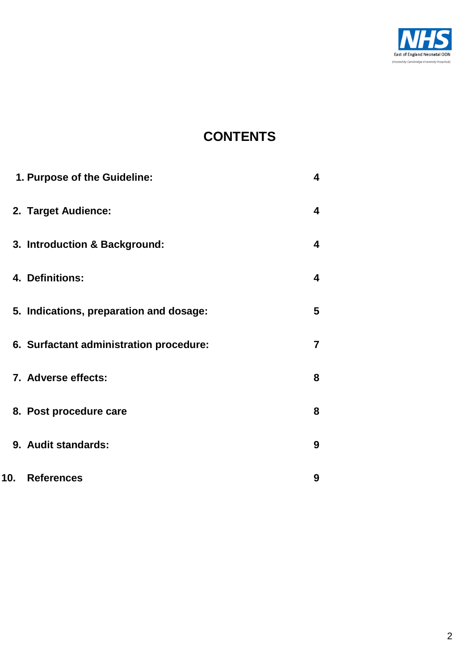

# **CONTENTS**

|                 | 1. Purpose of the Guideline:            | 4 |
|-----------------|-----------------------------------------|---|
|                 | 2. Target Audience:                     | 4 |
|                 | 3. Introduction & Background:           | 4 |
|                 | 4. Definitions:                         | 4 |
|                 | 5. Indications, preparation and dosage: | 5 |
|                 | 6. Surfactant administration procedure: | 7 |
|                 | 7. Adverse effects:                     | 8 |
|                 | 8. Post procedure care                  | 8 |
|                 | 9. Audit standards:                     | 9 |
| 10 <sub>1</sub> | <b>References</b>                       | 9 |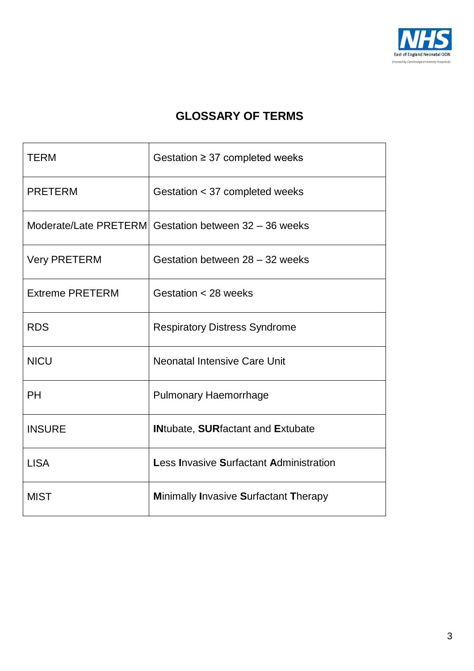

# **GLOSSARY OF TERMS**

| <b>TERM</b>            | Gestation $\geq$ 37 completed weeks                   |
|------------------------|-------------------------------------------------------|
| <b>PRETERM</b>         | Gestation < 37 completed weeks                        |
|                        | Moderate/Late PRETERM Gestation between 32 - 36 weeks |
| <b>Very PRETERM</b>    | Gestation between 28 - 32 weeks                       |
| <b>Extreme PRETERM</b> | Gestation < 28 weeks                                  |
| <b>RDS</b>             | <b>Respiratory Distress Syndrome</b>                  |
| <b>NICU</b>            | <b>Neonatal Intensive Care Unit</b>                   |
| PH                     | <b>Pulmonary Haemorrhage</b>                          |
| <b>INSURE</b>          | <b>INtubate, SURfactant and Extubate</b>              |
| <b>LISA</b>            | <b>Less Invasive Surfactant Administration</b>        |
| <b>MIST</b>            | <b>Minimally Invasive Surfactant Therapy</b>          |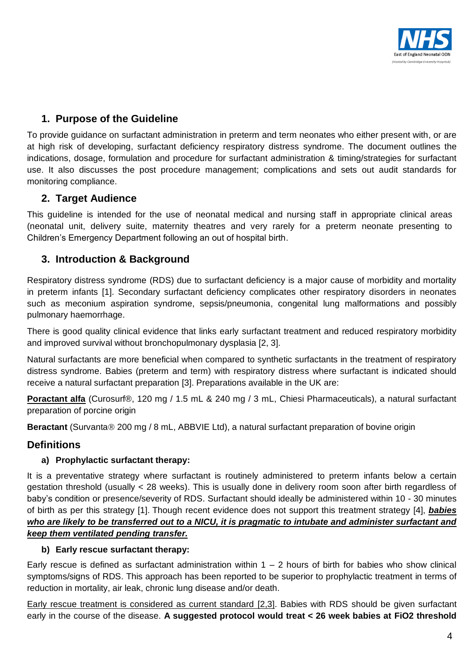

## <span id="page-3-0"></span>**1. Purpose of the Guideline**

To provide guidance on surfactant administration in preterm and term neonates who either present with, or are at high risk of developing, surfactant deficiency respiratory distress syndrome. The document outlines the indications, dosage, formulation and procedure for surfactant administration & timing/strategies for surfactant use. It also discusses the post procedure management; complications and sets out audit standards for monitoring compliance.

## <span id="page-3-1"></span>**2. Target Audience**

This guideline is intended for the use of neonatal medical and nursing staff in appropriate clinical areas (neonatal unit, delivery suite, maternity theatres and very rarely for a preterm neonate presenting to Children's Emergency Department following an out of hospital birth.

## <span id="page-3-2"></span>**3. Introduction & Background**

Respiratory distress syndrome (RDS) due to surfactant deficiency is a major cause of morbidity and mortality in preterm infants [\[1\]](#page-8-2). Secondary surfactant deficiency complicates other respiratory disorders in neonates such as meconium aspiration syndrome, sepsis/pneumonia, congenital lung malformations and possibly pulmonary haemorrhage.

There is good quality clinical evidence that links early surfactant treatment and reduced respiratory morbidity and improved survival without bronchopulmonary dysplasia [\[2,](#page-8-3) [3\]](#page-8-4).

Natural surfactants are more beneficial when compared to synthetic surfactants in the treatment of respiratory distress syndrome. Babies (preterm and term) with respiratory distress where surfactant is indicated should receive a natural surfactant preparation [\[3\]](#page-8-4). Preparations available in the UK are:

**Poractant alfa** (Curosurf®, 120 mg / 1.5 mL & 240 mg / 3 mL, Chiesi Pharmaceuticals), a natural surfactant preparation of porcine origin

**Beractant** (Survanta® 200 mg / 8 mL, ABBVIE Ltd), a natural surfactant preparation of bovine origin

## **Definitions**

#### <span id="page-3-3"></span>**a) Prophylactic surfactant therapy:**

It is a preventative strategy where surfactant is routinely administered to preterm infants below a certain gestation threshold (usually < 28 weeks). This is usually done in delivery room soon after birth regardless of baby's condition or presence/severity of RDS. Surfactant should ideally be administered within 10 - 30 minutes of birth as per this strategy [\[1\]](#page-8-2). Though recent evidence does not support this treatment strategy [\[4\]](#page-8-5), *babies who are likely to be transferred out to a NICU, it is pragmatic to intubate and administer surfactant and keep them ventilated pending transfer.*

#### **b) Early rescue surfactant therapy:**

Early rescue is defined as surfactant administration within  $1 - 2$  hours of birth for babies who show clinical symptoms/signs of RDS. This approach has been reported to be superior to prophylactic treatment in terms of reduction in mortality, air leak, chronic lung disease and/or death.

Early rescue treatment is considered as current standard [\[2,](#page-8-3)3]. Babies with RDS should be given surfactant early in the course of the disease. **A suggested protocol would treat < 26 week babies at FiO2 threshold**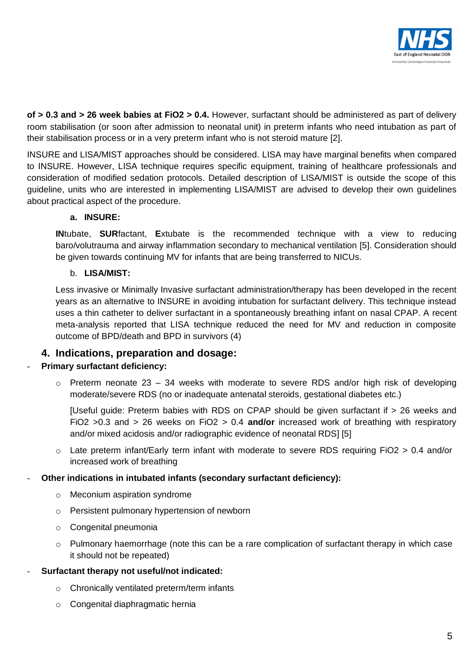

**of > 0.3 and > 26 week babies at FiO2 > 0.4.** However, surfactant should be administered as part of delivery room stabilisation (or soon after admission to neonatal unit) in preterm infants who need intubation as part of their stabilisation process or in a very preterm infant who is not steroid mature [\[2\]](#page-8-3).

INSURE and LISA/MIST approaches should be considered. LISA may have marginal benefits when compared to INSURE. However, LISA technique requires specific equipment, training of healthcare professionals and consideration of modified sedation protocols. Detailed description of LISA/MIST is outside the scope of this guideline, units who are interested in implementing LISA/MIST are advised to develop their own guidelines about practical aspect of the procedure.

#### **a. INSURE:**

**IN**tubate, **SUR**factant, **E**xtubate is the recommended technique with a view to reducing baro/volutrauma and airway inflammation secondary to mechanical ventilation [\[5\]](#page-8-3). Consideration should be given towards continuing MV for infants that are being transferred to NICUs.

#### b. **LISA/MIST:**

Less invasive or Minimally Invasive surfactant administration/therapy has been developed in the recent years as an alternative to INSURE in avoiding intubation for surfactant delivery. This technique instead uses a thin catheter to deliver surfactant in a spontaneously breathing infant on nasal CPAP. A recent meta-analysis reported that LISA technique reduced the need for MV and reduction in composite outcome of BPD/death and BPD in survivors (4)

## <span id="page-4-0"></span>**4. Indications, preparation and dosage:**

#### **Primary surfactant deficiency:**

 $\circ$  Preterm neonate 23 – 34 weeks with moderate to severe RDS and/or high risk of developing moderate/severe RDS (no or inadequate antenatal steroids, gestational diabetes etc.)

[Useful guide: Preterm babies with RDS on CPAP should be given surfactant if > 26 weeks and FiO2 >0.3 and > 26 weeks on FiO2 > 0.4 **and/or** increased work of breathing with respiratory and/or mixed acidosis and/or radiographic evidence of neonatal RDS] [\[5\]](#page-8-3)

 $\circ$  Late preterm infant/Early term infant with moderate to severe RDS requiring FiO2 > 0.4 and/or increased work of breathing

#### - **Other indications in intubated infants (secondary surfactant deficiency):**

- o Meconium aspiration syndrome
- o Persistent pulmonary hypertension of newborn
- o Congenital pneumonia
- $\circ$  Pulmonary haemorrhage (note this can be a rare complication of surfactant therapy in which case it should not be repeated)

#### - **Surfactant therapy not useful/not indicated:**

- o Chronically ventilated preterm/term infants
- o Congenital diaphragmatic hernia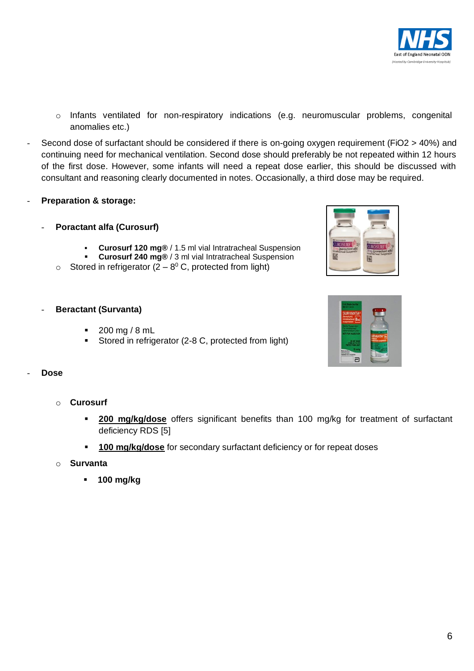

- o Infants ventilated for non-respiratory indications (e.g. neuromuscular problems, congenital anomalies etc.)
- Second dose of surfactant should be considered if there is on-going oxygen requirement (FiO2 > 40%) and continuing need for mechanical ventilation. Second dose should preferably be not repeated within 12 hours of the first dose. However, some infants will need a repeat dose earlier, this should be discussed with consultant and reasoning clearly documented in notes. Occasionally, a third dose may be required.
- **Preparation & storage:**
	- **Poractant alfa (Curosurf)**
		- **Curosurf 120 mg®** / 1.5 ml vial Intratracheal Suspension
		- **Curosurf 240 mg®** / 3 ml vial Intratracheal Suspension
		- $\circ$  Stored in refrigerator (2 8<sup>0</sup> C, protected from light)
	- **Beractant (Survanta)**
		- 200 mg / 8 mL
		- Stored in refrigerator (2-8 C, protected from light)





#### - **Dose**

- o **Curosurf**
	- **200 mg/kg/dose** offers significant benefits than 100 mg/kg for treatment of surfactant deficiency RDS [\[5\]](#page-8-3)
	- **100 mg/kg/dose** for secondary surfactant deficiency or for repeat doses
- o **Survanta**
	- **100 mg/kg**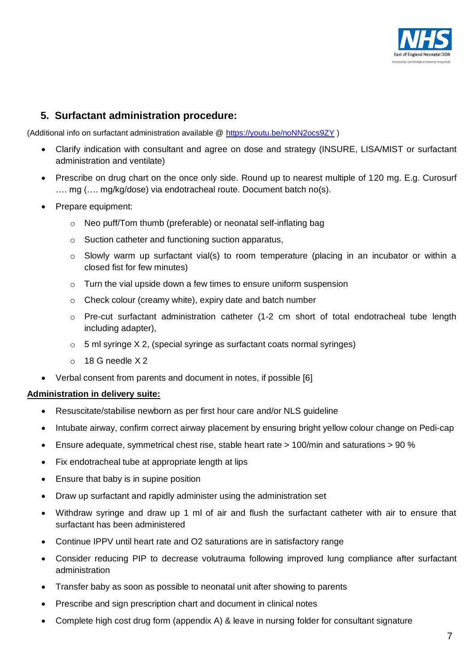

## <span id="page-6-0"></span>**5. Surfactant administration procedure:**

(Additional info on surfactant administration available @<https://youtu.be/noNN2ocs9ZY> )

- Clarify indication with consultant and agree on dose and strategy (INSURE, LISA/MIST or surfactant administration and ventilate)
- Prescribe on drug chart on the once only side. Round up to nearest multiple of 120 mg. E.g. Curosurf .... mg (.... mg/kg/dose) via endotracheal route. Document batch no(s).
- Prepare equipment:
	- o Neo puff/Tom thumb (preferable) or neonatal self-inflating bag
	- o Suction catheter and functioning suction apparatus,
	- $\circ$  Slowly warm up surfactant vial(s) to room temperature (placing in an incubator or within a closed fist for few minutes)
	- o Turn the vial upside down a few times to ensure uniform suspension
	- o Check colour (creamy white), expiry date and batch number
	- $\circ$  Pre-cut surfactant administration catheter (1-2 cm short of total endotracheal tube length including adapter),
	- $\circ$  5 ml syringe X 2, (special syringe as surfactant coats normal syringes)
	- $\circ$  18 G needle X 2
- Verbal consent from parents and document in notes, if possible [\[6\]](#page-8-6)

#### **Administration in delivery suite:**

- Resuscitate/stabilise newborn as per first hour care and/or NLS guideline
- Intubate airway, confirm correct airway placement by ensuring bright yellow colour change on Pedi-cap
- Ensure adequate, symmetrical chest rise, stable heart rate > 100/min and saturations > 90 %
- Fix endotracheal tube at appropriate length at lips
- Ensure that baby is in supine position
- Draw up surfactant and rapidly administer using the administration set
- Withdraw syringe and draw up 1 ml of air and flush the surfactant catheter with air to ensure that surfactant has been administered
- Continue IPPV until heart rate and O2 saturations are in satisfactory range
- Consider reducing PIP to decrease volutrauma following improved lung compliance after surfactant administration
- Transfer baby as soon as possible to neonatal unit after showing to parents
- Prescribe and sign prescription chart and document in clinical notes
- Complete high cost drug form (appendix A) & leave in nursing folder for consultant signature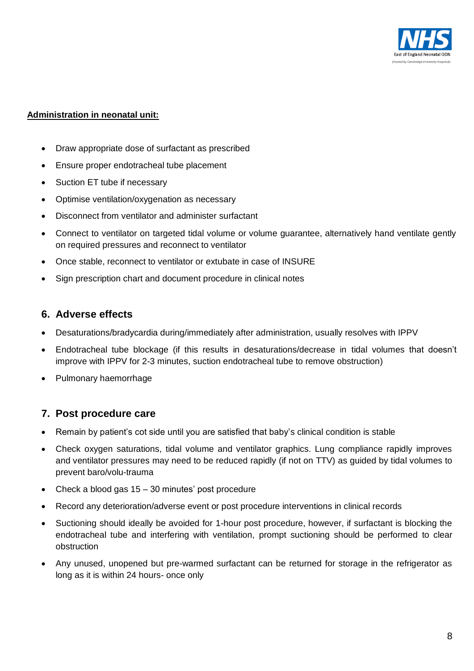

#### **Administration in neonatal unit:**

- Draw appropriate dose of surfactant as prescribed
- Ensure proper endotracheal tube placement
- Suction ET tube if necessary
- Optimise ventilation/oxygenation as necessary
- Disconnect from ventilator and administer surfactant
- Connect to ventilator on targeted tidal volume or volume guarantee, alternatively hand ventilate gently on required pressures and reconnect to ventilator
- Once stable, reconnect to ventilator or extubate in case of INSURE
- <span id="page-7-0"></span>Sign prescription chart and document procedure in clinical notes

## **6. Adverse effects**

- Desaturations/bradycardia during/immediately after administration, usually resolves with IPPV
- Endotracheal tube blockage (if this results in desaturations/decrease in tidal volumes that doesn't improve with IPPV for 2-3 minutes, suction endotracheal tube to remove obstruction)
- Pulmonary haemorrhage

## <span id="page-7-1"></span>**7. Post procedure care**

- Remain by patient's cot side until you are satisfied that baby's clinical condition is stable
- Check oxygen saturations, tidal volume and ventilator graphics. Lung compliance rapidly improves and ventilator pressures may need to be reduced rapidly (if not on TTV) as guided by tidal volumes to prevent baro/volu-trauma
- Check a blood gas 15 30 minutes' post procedure
- Record any deterioration/adverse event or post procedure interventions in clinical records
- Suctioning should ideally be avoided for 1-hour post procedure, however, if surfactant is blocking the endotracheal tube and interfering with ventilation, prompt suctioning should be performed to clear obstruction
- Any unused, unopened but pre-warmed surfactant can be returned for storage in the refrigerator as long as it is within 24 hours- once only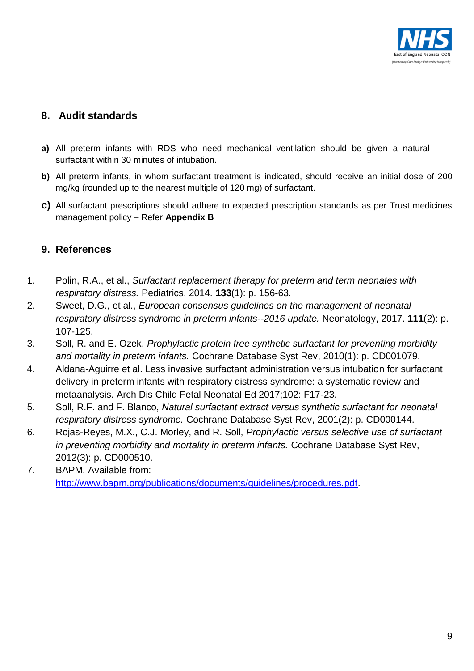

## <span id="page-8-0"></span>**8. Audit standards**

- **a)** All preterm infants with RDS who need mechanical ventilation should be given a natural surfactant within 30 minutes of intubation.
- **b)** All preterm infants, in whom surfactant treatment is indicated, should receive an initial dose of 200 mg/kg (rounded up to the nearest multiple of 120 mg) of surfactant.
- **c)** All surfactant prescriptions should adhere to expected prescription standards as per Trust medicines management policy – Refer **Appendix B**

## <span id="page-8-1"></span>**9. References**

- <span id="page-8-2"></span>1. Polin, R.A., et al., *Surfactant replacement therapy for preterm and term neonates with respiratory distress.* Pediatrics, 2014. **133**(1): p. 156-63.
- <span id="page-8-3"></span>2. Sweet, D.G., et al., *European consensus guidelines on the management of neonatal respiratory distress syndrome in preterm infants--2016 update.* Neonatology, 2017. **111**(2): p. 107-125.
- 3. Soll, R. and E. Ozek, *Prophylactic protein free synthetic surfactant for preventing morbidity and mortality in preterm infants.* Cochrane Database Syst Rev, 2010(1): p. CD001079.
- 4. Aldana-Aguirre et al. Less invasive surfactant administration versus intubation for surfactant delivery in preterm infants with respiratory distress syndrome: a systematic review and metaanalysis. Arch Dis Child Fetal Neonatal Ed 2017;102: F17-23.
- <span id="page-8-4"></span>5. Soll, R.F. and F. Blanco, *Natural surfactant extract versus synthetic surfactant for neonatal respiratory distress syndrome.* Cochrane Database Syst Rev, 2001(2): p. CD000144.
- <span id="page-8-5"></span>6. Rojas-Reyes, M.X., C.J. Morley, and R. Soll, *Prophylactic versus selective use of surfactant in preventing morbidity and mortality in preterm infants.* Cochrane Database Syst Rev, 2012(3): p. CD000510.
- <span id="page-8-6"></span>7. BAPM. Available from: [http://www.bapm.org/publications/documents/guidelines/procedures.pdf.](http://www.bapm.org/publications/documents/guidelines/procedures.pdf)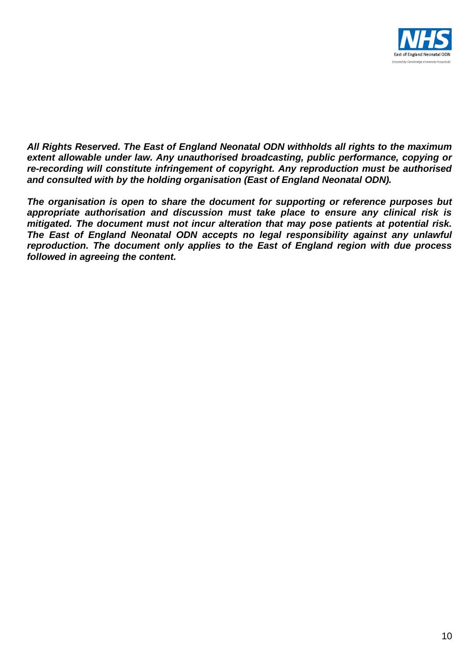

*All Rights Reserved. The East of England Neonatal ODN withholds all rights to the maximum extent allowable under law. Any unauthorised broadcasting, public performance, copying or re-recording will constitute infringement of copyright. Any reproduction must be authorised and consulted with by the holding organisation (East of England Neonatal ODN).*

*The organisation is open to share the document for supporting or reference purposes but appropriate authorisation and discussion must take place to ensure any clinical risk is mitigated. The document must not incur alteration that may pose patients at potential risk. The East of England Neonatal ODN accepts no legal responsibility against any unlawful reproduction. The document only applies to the East of England region with due process followed in agreeing the content.*